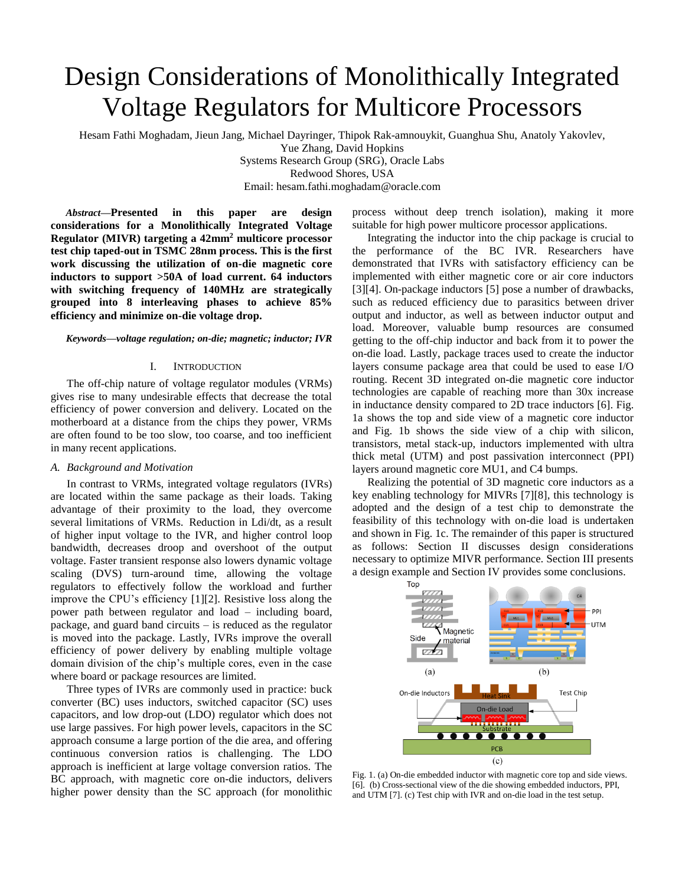# Design Considerations of Monolithically Integrated Voltage Regulators for Multicore Processors

Hesam Fathi Moghadam, Jieun Jang, Michael Dayringer, Thipok Rak-amnouykit, Guanghua Shu, Anatoly Yakovlev, Yue Zhang, David Hopkins

Systems Research Group (SRG), Oracle Labs

Redwood Shores, USA

Email: hesam.fathi.moghadam@oracle.com

*Abstract***—Presented in this paper are design considerations for a Monolithically Integrated Voltage Regulator (MIVR) targeting a 42mm<sup>2</sup> multicore processor test chip taped-out in TSMC 28nm process. This is the first work discussing the utilization of on-die magnetic core inductors to support >50A of load current. 64 inductors with switching frequency of 140MHz are strategically grouped into 8 interleaving phases to achieve 85% efficiency and minimize on-die voltage drop.** 

## *Keywords—voltage regulation; on-die; magnetic; inductor; IVR*

#### I. INTRODUCTION

The off-chip nature of voltage regulator modules (VRMs) gives rise to many undesirable effects that decrease the total efficiency of power conversion and delivery. Located on the motherboard at a distance from the chips they power, VRMs are often found to be too slow, too coarse, and too inefficient in many recent applications.

#### *A. Background and Motivation*

In contrast to VRMs, integrated voltage regulators (IVRs) are located within the same package as their loads. Taking advantage of their proximity to the load, they overcome several limitations of VRMs. Reduction in Ldi/dt, as a result of higher input voltage to the IVR, and higher control loop bandwidth, decreases droop and overshoot of the output voltage. Faster transient response also lowers dynamic voltage scaling (DVS) turn-around time, allowing the voltage regulators to effectively follow the workload and further improve the CPU's efficiency [\[1\]\[2\].](#page-4-0) Resistive loss along the power path between regulator and load – including board, package, and guard band circuits – is reduced as the regulator is moved into the package. Lastly, IVRs improve the overall efficiency of power delivery by enabling multiple voltage domain division of the chip's multiple cores, even in the case where board or package resources are limited.

Three types of IVRs are commonly used in practice: buck converter (BC) uses inductors, switched capacitor (SC) uses capacitors, and low drop-out (LDO) regulator which does not use large passives. For high power levels, capacitors in the SC approach consume a large portion of the die area, and offering continuous conversion ratios is challenging. The LDO approach is inefficient at large voltage conversion ratios. The BC approach, with magnetic core on-die inductors, delivers higher power density than the SC approach (for monolithic

process without deep trench isolation), making it more suitable for high power multicore processor applications.

Integrating the inductor into the chip package is crucial to the performance of the BC IVR. Researchers have demonstrated that IVRs with satisfactory efficiency can be implemented with either magnetic core or air core inductors [\[3\]\[4\].](#page-4-1) On-package inductors [\[5\]](#page-4-2) pose a number of drawbacks, such as reduced efficiency due to parasitics between driver output and inductor, as well as between inductor output and load. Moreover, valuable bump resources are consumed getting to the off-chip inductor and back from it to power the on-die load. Lastly, package traces used to create the inductor layers consume package area that could be used to ease I/O routing. Recent 3D integrated on-die magnetic core inductor technologies are capable of reaching more than 30x increase in inductance density compared to 2D trace inductors [\[6\].](#page-4-3) [Fig.](#page-0-0)  [1a](#page-0-0) shows the top and side view of a magnetic core inductor and [Fig. 1b](#page-0-0) shows the side view of a chip with silicon, transistors, metal stack-up, inductors implemented with ultra thick metal (UTM) and post passivation interconnect (PPI) layers around magnetic core MU1, and C4 bumps.

Realizing the potential of 3D magnetic core inductors as a key enabling technology for MIVRs [\[7\]\[8\],](#page-4-4) this technology is adopted and the design of a test chip to demonstrate the feasibility of this technology with on-die load is undertaken and shown in [Fig. 1c](#page-0-0). The remainder of this paper is structured as follows: Section II discusses design considerations necessary to optimize MIVR performance. Section III presents a design example and Section IV provides some conclusions.



<span id="page-0-0"></span>Fig. 1. (a) On-die embedded inductor with magnetic core top and side views. [\[6\].](#page-4-3) (b) Cross-sectional view of the die showing embedded inductors, PPI, and UTM [\[7\].](#page-4-4) (c) Test chip with IVR and on-die load in the test setup.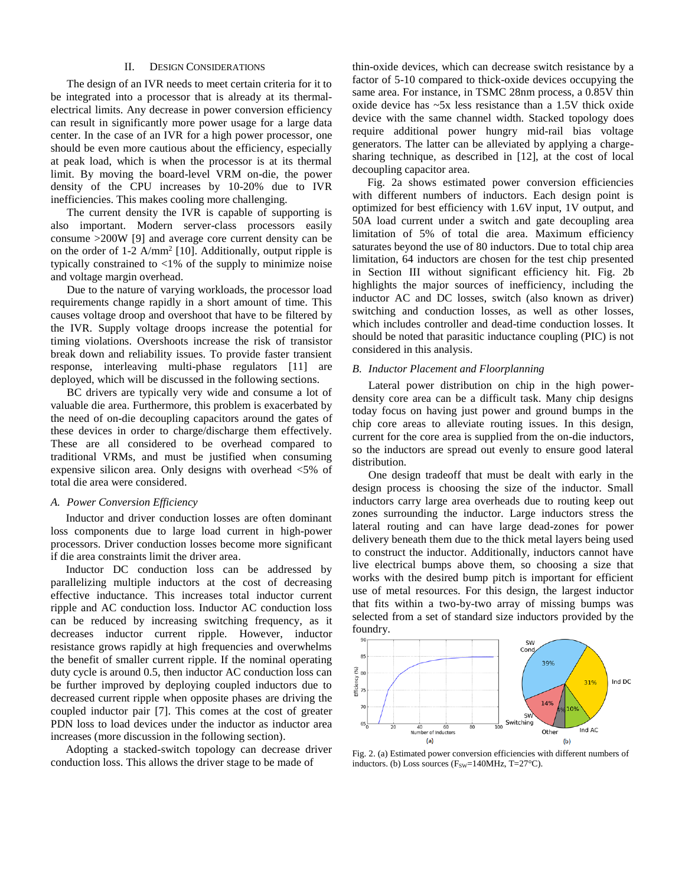#### II. DESIGN CONSIDERATIONS

The design of an IVR needs to meet certain criteria for it to be integrated into a processor that is already at its thermalelectrical limits. Any decrease in power conversion efficiency can result in significantly more power usage for a large data center. In the case of an IVR for a high power processor, one should be even more cautious about the efficiency, especially at peak load, which is when the processor is at its thermal limit. By moving the board-level VRM on-die, the power density of the CPU increases by 10-20% due to IVR inefficiencies. This makes cooling more challenging.

The current density the IVR is capable of supporting is also important. Modern server-class processors easily consume >200W [\[9\]](#page-4-5) and average core current density can be on the order of 1-2 A/mm<sup>2</sup> [\[10\].](#page-4-6) Additionally, output ripple is typically constrained to <1% of the supply to minimize noise and voltage margin overhead.

Due to the nature of varying workloads, the processor load requirements change rapidly in a short amount of time. This causes voltage droop and overshoot that have to be filtered by the IVR. Supply voltage droops increase the potential for timing violations. Overshoots increase the risk of transistor break down and reliability issues. To provide faster transient response, interleaving multi-phase regulators [\[11\]](#page-4-7) are deployed, which will be discussed in the following sections.

BC drivers are typically very wide and consume a lot of valuable die area. Furthermore, this problem is exacerbated by the need of on-die decoupling capacitors around the gates of these devices in order to charge/discharge them effectively. These are all considered to be overhead compared to traditional VRMs, and must be justified when consuming expensive silicon area. Only designs with overhead <5% of total die area were considered.

#### *A. Power Conversion Efficiency*

Inductor and driver conduction losses are often dominant loss components due to large load current in high-power processors. Driver conduction losses become more significant if die area constraints limit the driver area.

Inductor DC conduction loss can be addressed by parallelizing multiple inductors at the cost of decreasing effective inductance. This increases total inductor current ripple and AC conduction loss. Inductor AC conduction loss can be reduced by increasing switching frequency, as it decreases inductor current ripple. However, inductor resistance grows rapidly at high frequencies and overwhelms the benefit of smaller current ripple. If the nominal operating duty cycle is around 0.5, then inductor AC conduction loss can be further improved by deploying coupled inductors due to decreased current ripple when opposite phases are driving the coupled inductor pair [\[7\].](#page-4-4) This comes at the cost of greater PDN loss to load devices under the inductor as inductor area increases (more discussion in the following section).

Adopting a stacked-switch topology can decrease driver conduction loss. This allows the driver stage to be made of

thin-oxide devices, which can decrease switch resistance by a factor of 5-10 compared to thick-oxide devices occupying the same area. For instance, in TSMC 28nm process, a 0.85V thin oxide device has ~5x less resistance than a 1.5V thick oxide device with the same channel width. Stacked topology does require additional power hungry mid-rail bias voltage generators. The latter can be alleviated by applying a chargesharing technique, as described in [\[12\],](#page-4-8) at the cost of local decoupling capacitor area.

[Fig. 2a](#page-1-0) shows estimated power conversion efficiencies with different numbers of inductors. Each design point is optimized for best efficiency with 1.6V input, 1V output, and 50A load current under a switch and gate decoupling area limitation of 5% of total die area. Maximum efficiency saturates beyond the use of 80 inductors. Due to total chip area limitation, 64 inductors are chosen for the test chip presented in Section [III](#page-3-0) without significant efficiency hit. [Fig. 2b](#page-1-0) highlights the major sources of inefficiency, including the inductor AC and DC losses, switch (also known as driver) switching and conduction losses, as well as other losses, which includes controller and dead-time conduction losses. It should be noted that parasitic inductance coupling (PIC) is not considered in this analysis.

### <span id="page-1-1"></span>*B. Inductor Placement and Floorplanning*

Lateral power distribution on chip in the high powerdensity core area can be a difficult task. Many chip designs today focus on having just power and ground bumps in the chip core areas to alleviate routing issues. In this design, current for the core area is supplied from the on-die inductors, so the inductors are spread out evenly to ensure good lateral distribution.

One design tradeoff that must be dealt with early in the design process is choosing the size of the inductor. Small inductors carry large area overheads due to routing keep out zones surrounding the inductor. Large inductors stress the lateral routing and can have large dead-zones for power delivery beneath them due to the thick metal layers being used to construct the inductor. Additionally, inductors cannot have live electrical bumps above them, so choosing a size that works with the desired bump pitch is important for efficient use of metal resources. For this design, the largest inductor that fits within a two-by-two array of missing bumps was selected from a set of standard size inductors provided by the foundry.



<span id="page-1-0"></span>Fig. 2. (a) Estimated power conversion efficiencies with different numbers of inductors. (b) Loss sources  $(F_{SW}=140MHz, T=27^{\circ}C)$ .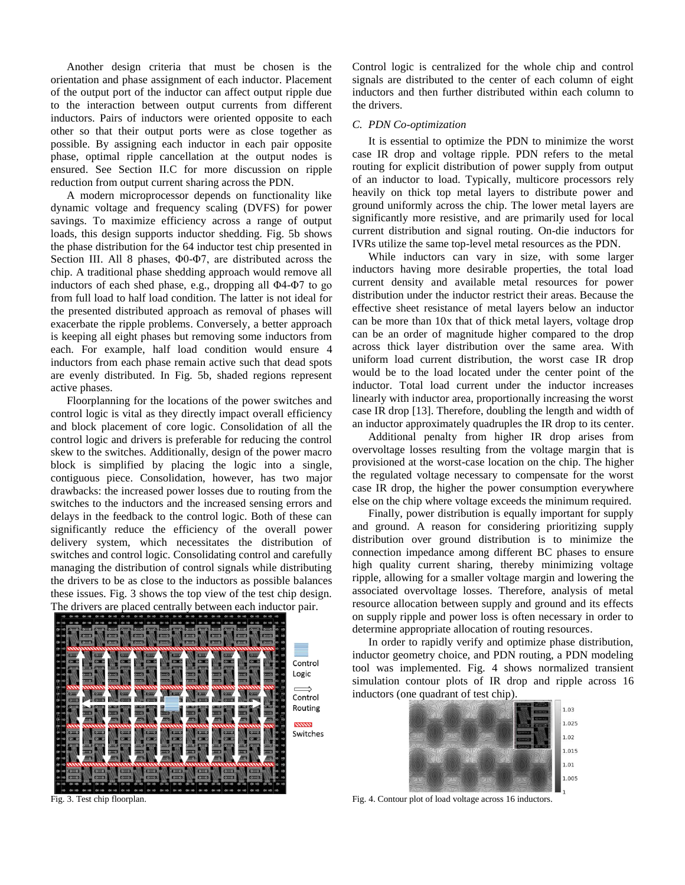Another design criteria that must be chosen is the orientation and phase assignment of each inductor. Placement of the output port of the inductor can affect output ripple due to the interaction between output currents from different inductors. Pairs of inductors were oriented opposite to each other so that their output ports were as close together as possible. By assigning each inductor in each pair opposite phase, optimal ripple cancellation at the output nodes is ensured. See Section II[.C](#page-2-0) for more discussion on ripple reduction from output current sharing across the PDN.

A modern microprocessor depends on functionality like dynamic voltage and frequency scaling (DVFS) for power savings. To maximize efficiency across a range of output loads, this design supports inductor shedding. [Fig. 5b](#page-3-1) shows the phase distribution for the 64 inductor test chip presented in Section [III.](#page-3-0) All 8 phases, Φ0-Φ7, are distributed across the chip. A traditional phase shedding approach would remove all inductors of each shed phase, e.g., dropping all Φ4-Φ7 to go from full load to half load condition. The latter is not ideal for the presented distributed approach as removal of phases will exacerbate the ripple problems. Conversely, a better approach is keeping all eight phases but removing some inductors from each. For example, half load condition would ensure 4 inductors from each phase remain active such that dead spots are evenly distributed. In [Fig. 5b](#page-3-1), shaded regions represent active phases.

Floorplanning for the locations of the power switches and control logic is vital as they directly impact overall efficiency and block placement of core logic. Consolidation of all the control logic and drivers is preferable for reducing the control skew to the switches. Additionally, design of the power macro block is simplified by placing the logic into a single, contiguous piece. Consolidation, however, has two major drawbacks: the increased power losses due to routing from the switches to the inductors and the increased sensing errors and delays in the feedback to the control logic. Both of these can significantly reduce the efficiency of the overall power delivery system, which necessitates the distribution of switches and control logic. Consolidating control and carefully managing the distribution of control signals while distributing the drivers to be as close to the inductors as possible balances these issues. [Fig. 3](#page-2-1) shows the top view of the test chip design. The drivers are placed centrally between each inductor pair.



Control logic is centralized for the whole chip and control signals are distributed to the center of each column of eight inductors and then further distributed within each column to the drivers.

#### <span id="page-2-0"></span>*C. PDN Co-optimization*

It is essential to optimize the PDN to minimize the worst case IR drop and voltage ripple. PDN refers to the metal routing for explicit distribution of power supply from output of an inductor to load. Typically, multicore processors rely heavily on thick top metal layers to distribute power and ground uniformly across the chip. The lower metal layers are significantly more resistive, and are primarily used for local current distribution and signal routing. On-die inductors for IVRs utilize the same top-level metal resources as the PDN.

While inductors can vary in size, with some larger inductors having more desirable properties, the total load current density and available metal resources for power distribution under the inductor restrict their areas. Because the effective sheet resistance of metal layers below an inductor can be more than 10x that of thick metal layers, voltage drop can be an order of magnitude higher compared to the drop across thick layer distribution over the same area. With uniform load current distribution, the worst case IR drop would be to the load located under the center point of the inductor. Total load current under the inductor increases linearly with inductor area, proportionally increasing the worst case IR drop [\[13\].](#page-4-9) Therefore, doubling the length and width of an inductor approximately quadruples the IR drop to its center.

Additional penalty from higher IR drop arises from overvoltage losses resulting from the voltage margin that is provisioned at the worst-case location on the chip. The higher the regulated voltage necessary to compensate for the worst case IR drop, the higher the power consumption everywhere else on the chip where voltage exceeds the minimum required.

Finally, power distribution is equally important for supply and ground. A reason for considering prioritizing supply distribution over ground distribution is to minimize the connection impedance among different BC phases to ensure high quality current sharing, thereby minimizing voltage ripple, allowing for a smaller voltage margin and lowering the associated overvoltage losses. Therefore, analysis of metal resource allocation between supply and ground and its effects on supply ripple and power loss is often necessary in order to determine appropriate allocation of routing resources.

In order to rapidly verify and optimize phase distribution, inductor geometry choice, and PDN routing, a PDN modeling tool was implemented. [Fig. 4](#page-2-2) shows normalized transient simulation contour plots of IR drop and ripple across 16 inductors (one quadrant of test chip).

<span id="page-2-2"></span>

Fig. 4. Contour plot of load voltage across 16 inductors.

<span id="page-2-1"></span>Fig. 3. Test chip floorplan.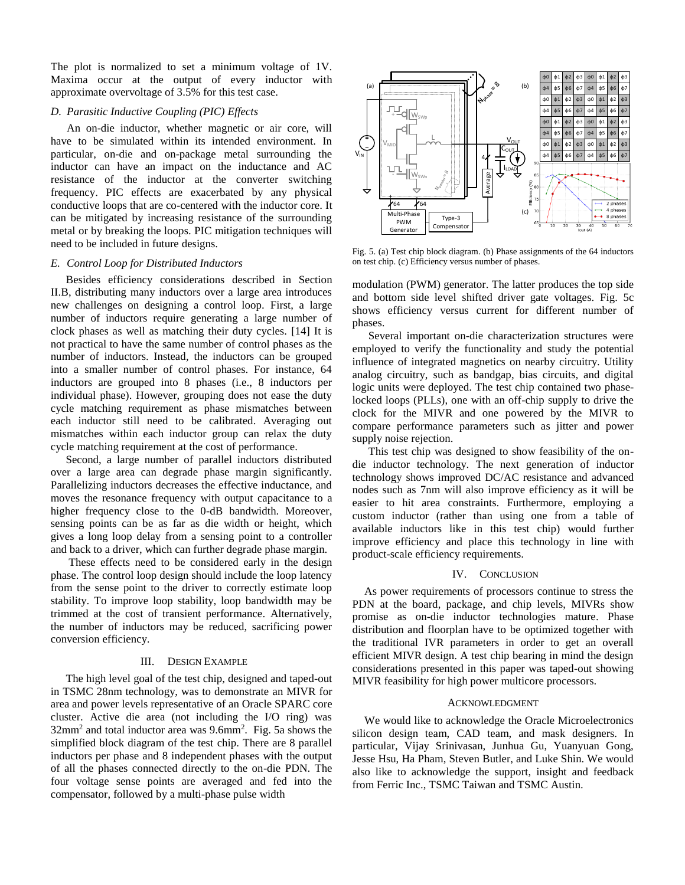The plot is normalized to set a minimum voltage of 1V. Maxima occur at the output of every inductor with approximate overvoltage of 3.5% for this test case.

# *D. Parasitic Inductive Coupling (PIC) Effects*

An on-die inductor, whether magnetic or air core, will have to be simulated within its intended environment. In particular, on-die and on-package metal surrounding the inductor can have an impact on the inductance and AC resistance of the inductor at the converter switching frequency. PIC effects are exacerbated by any physical conductive loops that are co-centered with the inductor core. It can be mitigated by increasing resistance of the surrounding metal or by breaking the loops. PIC mitigation techniques will need to be included in future designs.

## *E. Control Loop for Distributed Inductors*

Besides efficiency considerations described in Section [II.B,](#page-1-1) distributing many inductors over a large area introduces new challenges on designing a control loop. First, a large number of inductors require generating a large number of clock phases as well as matching their duty cycles. [\[14\]](#page-4-10) It is not practical to have the same number of control phases as the number of inductors. Instead, the inductors can be grouped into a smaller number of control phases. For instance, 64 inductors are grouped into 8 phases (i.e., 8 inductors per individual phase). However, grouping does not ease the duty cycle matching requirement as phase mismatches between each inductor still need to be calibrated. Averaging out mismatches within each inductor group can relax the duty cycle matching requirement at the cost of performance.

Second, a large number of parallel inductors distributed over a large area can degrade phase margin significantly. Parallelizing inductors decreases the effective inductance, and moves the resonance frequency with output capacitance to a higher frequency close to the 0-dB bandwidth. Moreover, sensing points can be as far as die width or height, which gives a long loop delay from a sensing point to a controller and back to a driver, which can further degrade phase margin.

These effects need to be considered early in the design phase. The control loop design should include the loop latency from the sense point to the driver to correctly estimate loop stability. To improve loop stability, loop bandwidth may be trimmed at the cost of transient performance. Alternatively, the number of inductors may be reduced, sacrificing power conversion efficiency.

## III. DESIGN EXAMPLE

<span id="page-3-0"></span>The high level goal of the test chip, designed and taped-out in TSMC 28nm technology, was to demonstrate an MIVR for area and power levels representative of an Oracle SPARC core cluster. Active die area (not including the I/O ring) was  $32$ mm<sup>2</sup> and total inductor area was  $9.6$ mm<sup>2</sup>. [Fig. 5a](#page-3-1) shows the simplified block diagram of the test chip. There are 8 parallel inductors per phase and 8 independent phases with the output of all the phases connected directly to the on-die PDN. The four voltage sense points are averaged and fed into the compensator, followed by a multi-phase pulse width



<span id="page-3-1"></span>Fig. 5. (a) Test chip block diagram. (b) Phase assignments of the 64 inductors on test chip. (c) Efficiency versus number of phases.

modulation (PWM) generator. The latter produces the top side and bottom side level shifted driver gate voltages. [Fig. 5c](#page-3-1) shows efficiency versus current for different number of phases.

Several important on-die characterization structures were employed to verify the functionality and study the potential influence of integrated magnetics on nearby circuitry. Utility analog circuitry, such as bandgap, bias circuits, and digital logic units were deployed. The test chip contained two phaselocked loops (PLLs), one with an off-chip supply to drive the clock for the MIVR and one powered by the MIVR to compare performance parameters such as jitter and power supply noise rejection.

This test chip was designed to show feasibility of the ondie inductor technology. The next generation of inductor technology shows improved DC/AC resistance and advanced nodes such as 7nm will also improve efficiency as it will be easier to hit area constraints. Furthermore, employing a custom inductor (rather than using one from a table of available inductors like in this test chip) would further improve efficiency and place this technology in line with product-scale efficiency requirements.

## IV. CONCLUSION

As power requirements of processors continue to stress the PDN at the board, package, and chip levels, MIVRs show promise as on-die inductor technologies mature. Phase distribution and floorplan have to be optimized together with the traditional IVR parameters in order to get an overall efficient MIVR design. A test chip bearing in mind the design considerations presented in this paper was taped-out showing MIVR feasibility for high power multicore processors.

## ACKNOWLEDGMENT

We would like to acknowledge the Oracle Microelectronics silicon design team, CAD team, and mask designers. In particular, Vijay Srinivasan, Junhua Gu, Yuanyuan Gong, Jesse Hsu, Ha Pham, Steven Butler, and Luke Shin. We would also like to acknowledge the support, insight and feedback from Ferric Inc., TSMC Taiwan and TSMC Austin.